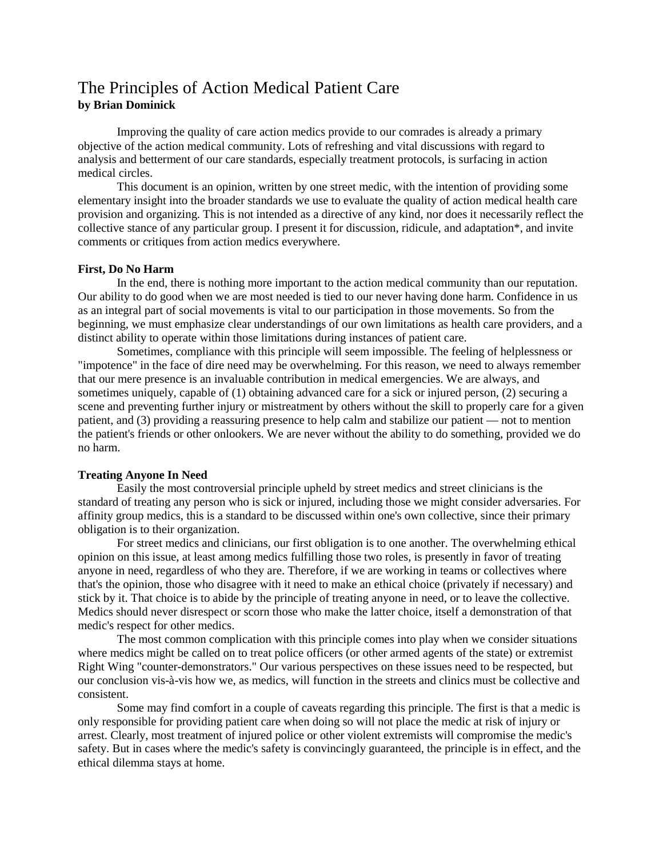# The Principles of Action Medical Patient Care **by Brian Dominick**

Improving the quality of care action medics provide to our comrades is already a primary objective of the action medical community. Lots of refreshing and vital discussions with regard to analysis and betterment of our care standards, especially treatment protocols, is surfacing in action medical circles.

This document is an opinion, written by one street medic, with the intention of providing some elementary insight into the broader standards we use to evaluate the quality of action medical health care provision and organizing. This is not intended as a directive of any kind, nor does it necessarily reflect the collective stance of any particular group. I present it for discussion, ridicule, and adaptation\*, and invite comments or critiques from action medics everywhere.

## **First, Do No Harm**

In the end, there is nothing more important to the action medical community than our reputation. Our ability to do good when we are most needed is tied to our never having done harm. Confidence in us as an integral part of social movements is vital to our participation in those movements. So from the beginning, we must emphasize clear understandings of our own limitations as health care providers, and a distinct ability to operate within those limitations during instances of patient care.

Sometimes, compliance with this principle will seem impossible. The feeling of helplessness or "impotence" in the face of dire need may be overwhelming. For this reason, we need to always remember that our mere presence is an invaluable contribution in medical emergencies. We are always, and sometimes uniquely, capable of (1) obtaining advanced care for a sick or injured person, (2) securing a scene and preventing further injury or mistreatment by others without the skill to properly care for a given patient, and (3) providing a reassuring presence to help calm and stabilize our patient — not to mention the patient's friends or other onlookers. We are never without the ability to do something, provided we do no harm.

#### **Treating Anyone In Need**

Easily the most controversial principle upheld by street medics and street clinicians is the standard of treating any person who is sick or injured, including those we might consider adversaries. For affinity group medics, this is a standard to be discussed within one's own collective, since their primary obligation is to their organization.

For street medics and clinicians, our first obligation is to one another. The overwhelming ethical opinion on this issue, at least among medics fulfilling those two roles, is presently in favor of treating anyone in need, regardless of who they are. Therefore, if we are working in teams or collectives where that's the opinion, those who disagree with it need to make an ethical choice (privately if necessary) and stick by it. That choice is to abide by the principle of treating anyone in need, or to leave the collective. Medics should never disrespect or scorn those who make the latter choice, itself a demonstration of that medic's respect for other medics.

The most common complication with this principle comes into play when we consider situations where medics might be called on to treat police officers (or other armed agents of the state) or extremist Right Wing "counter-demonstrators." Our various perspectives on these issues need to be respected, but our conclusion vis-à-vis how we, as medics, will function in the streets and clinics must be collective and consistent.

Some may find comfort in a couple of caveats regarding this principle. The first is that a medic is only responsible for providing patient care when doing so will not place the medic at risk of injury or arrest. Clearly, most treatment of injured police or other violent extremists will compromise the medic's safety. But in cases where the medic's safety is convincingly guaranteed, the principle is in effect, and the ethical dilemma stays at home.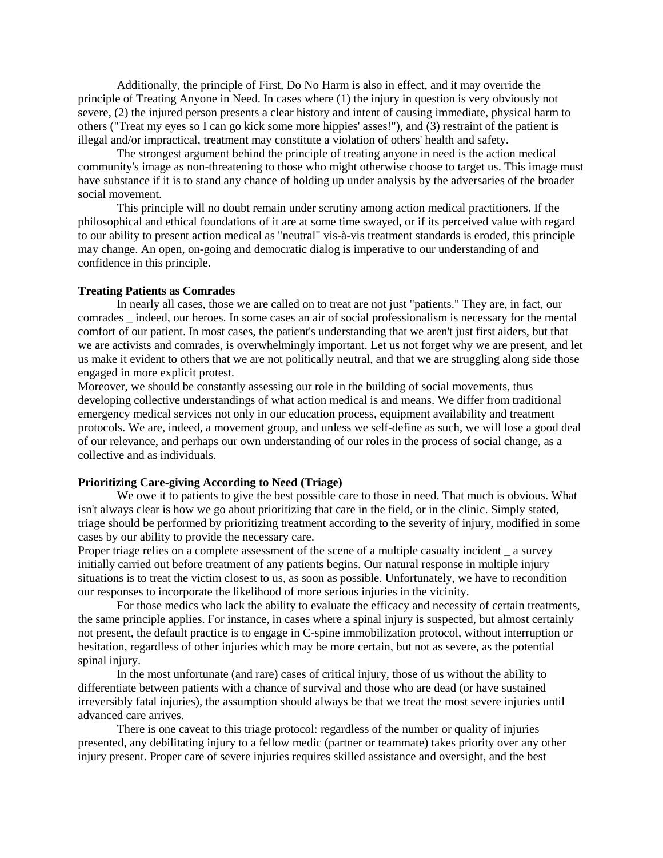Additionally, the principle of First, Do No Harm is also in effect, and it may override the principle of Treating Anyone in Need. In cases where (1) the injury in question is very obviously not severe, (2) the injured person presents a clear history and intent of causing immediate, physical harm to others ("Treat my eyes so I can go kick some more hippies' asses!"), and (3) restraint of the patient is illegal and/or impractical, treatment may constitute a violation of others' health and safety.

The strongest argument behind the principle of treating anyone in need is the action medical community's image as non-threatening to those who might otherwise choose to target us. This image must have substance if it is to stand any chance of holding up under analysis by the adversaries of the broader social movement.

This principle will no doubt remain under scrutiny among action medical practitioners. If the philosophical and ethical foundations of it are at some time swayed, or if its perceived value with regard to our ability to present action medical as "neutral" vis-à-vis treatment standards is eroded, this principle may change. An open, on-going and democratic dialog is imperative to our understanding of and confidence in this principle.

#### **Treating Patients as Comrades**

In nearly all cases, those we are called on to treat are not just "patients." They are, in fact, our comrades \_ indeed, our heroes. In some cases an air of social professionalism is necessary for the mental comfort of our patient. In most cases, the patient's understanding that we aren't just first aiders, but that we are activists and comrades, is overwhelmingly important. Let us not forget why we are present, and let us make it evident to others that we are not politically neutral, and that we are struggling along side those engaged in more explicit protest.

Moreover, we should be constantly assessing our role in the building of social movements, thus developing collective understandings of what action medical is and means. We differ from traditional emergency medical services not only in our education process, equipment availability and treatment protocols. We are, indeed, a movement group, and unless we self-define as such, we will lose a good deal of our relevance, and perhaps our own understanding of our roles in the process of social change, as a collective and as individuals.

## **Prioritizing Care-giving According to Need (Triage)**

We owe it to patients to give the best possible care to those in need. That much is obvious. What isn't always clear is how we go about prioritizing that care in the field, or in the clinic. Simply stated, triage should be performed by prioritizing treatment according to the severity of injury, modified in some cases by our ability to provide the necessary care.

Proper triage relies on a complete assessment of the scene of a multiple casualty incident \_ a survey initially carried out before treatment of any patients begins. Our natural response in multiple injury situations is to treat the victim closest to us, as soon as possible. Unfortunately, we have to recondition our responses to incorporate the likelihood of more serious injuries in the vicinity.

For those medics who lack the ability to evaluate the efficacy and necessity of certain treatments, the same principle applies. For instance, in cases where a spinal injury is suspected, but almost certainly not present, the default practice is to engage in C-spine immobilization protocol, without interruption or hesitation, regardless of other injuries which may be more certain, but not as severe, as the potential spinal injury.

In the most unfortunate (and rare) cases of critical injury, those of us without the ability to differentiate between patients with a chance of survival and those who are dead (or have sustained irreversibly fatal injuries), the assumption should always be that we treat the most severe injuries until advanced care arrives.

There is one caveat to this triage protocol: regardless of the number or quality of injuries presented, any debilitating injury to a fellow medic (partner or teammate) takes priority over any other injury present. Proper care of severe injuries requires skilled assistance and oversight, and the best